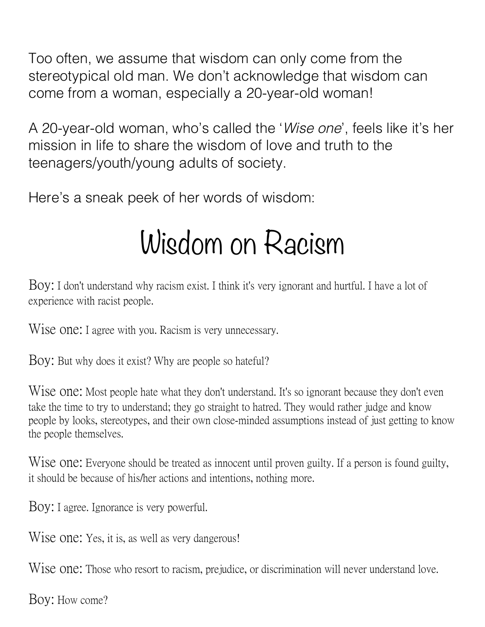Too often, we assume that wisdom can only come from the stereotypical old man. We don't acknowledge that wisdom can come from a woman, especially a 20-year-old woman!

A 20-year-old woman, who's called the '*Wise one*', feels like it's her mission in life to share the wisdom of love and truth to the teenagers/youth/young adults of society.

Here's a sneak peek of her words of wisdom:

### Wisdom on Racism

Boy: I don't understand why racism exist. I think it's very ignorant and hurtful. I have a lot of experience with racist people.

Wise one: I agree with you. Racism is very unnecessary.

Boy: But why does it exist? Why are people so hateful?

Wise one: Most people hate what they don't understand. It's so ignorant because they don't even take the time to try to understand; they go straight to hatred. They would rather judge and know people by looks, stereotypes, and their own close-minded assumptions instead of just getting to know the people themselves.

Wise one: Everyone should be treated as innocent until proven guilty. If a person is found guilty, it should be because of his/her actions and intentions, nothing more.

Boy: I agree. Ignorance is very powerful.

Wise one: Yes, it is, as well as very dangerous!

Wise one: Those who resort to racism, prejudice, or discrimination will never understand love.

Boy: How come?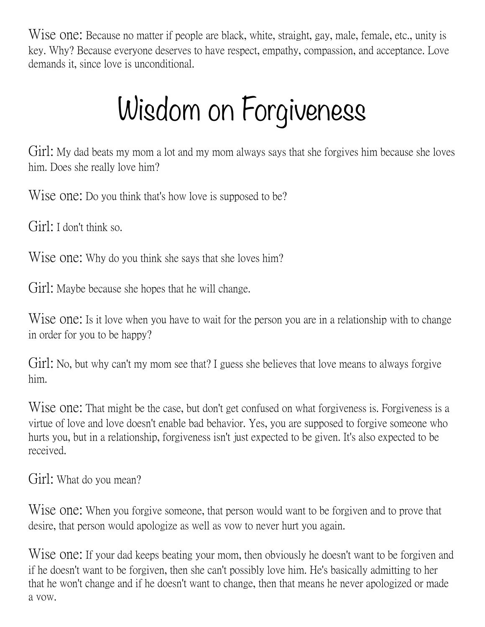Wise one: Because no matter if people are black, white, straight, gay, male, female, etc., unity is key. Why? Because everyone deserves to have respect, empathy, compassion, and acceptance. Love demands it, since love is unconditional.

# Wisdom on Forgiveness

Girl; My dad beats my mom a lot and my mom always says that she forgives him because she loves him. Does she really love him?

Wise one: Do you think that's how love is supposed to be?

Girl: I don't think so.

Wise one: Why do you think she says that she loves him?

Girl: Maybe because she hopes that he will change.

Wise one: Is it love when you have to wait for the person you are in a relationship with to change in order for you to be happy?

Girl: No, but why can't my mom see that? I guess she believes that love means to always forgive him.

Wise one: That might be the case, but don't get confused on what forgiveness is. Forgiveness is a virtue of love and love doesn't enable bad behavior. Yes, you are supposed to forgive someone who hurts you, but in a relationship, forgiveness isn't just expected to be given. It's also expected to be received.

Girl: What do you mean?

Wise one: When you forgive someone, that person would want to be forgiven and to prove that desire, that person would apologize as well as vow to never hurt you again.

Wise one: If your dad keeps beating your mom, then obviously he doesn't want to be forgiven and if he doesn't want to be forgiven, then she can't possibly love him. He's basically admitting to her that he won't change and if he doesn't want to change, then that means he never apologized or made a vow.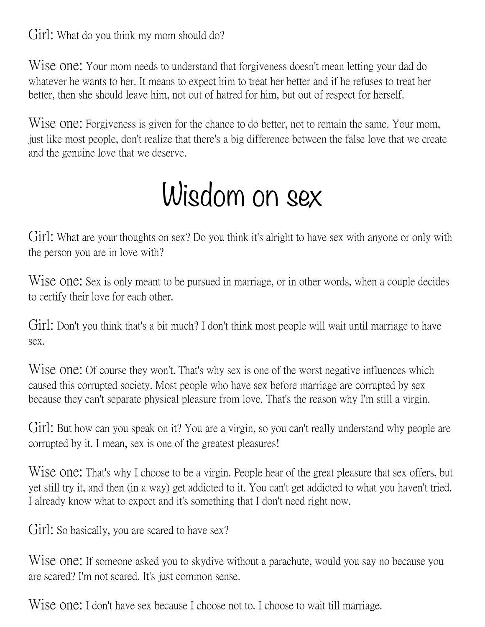Girl: What do you think my mom should do?

Wise one: Your mom needs to understand that forgiveness doesn't mean letting your dad do whatever he wants to her. It means to expect him to treat her better and if he refuses to treat her better, then she should leave him, not out of hatred for him, but out of respect for herself.

Wise one: Forgiveness is given for the chance to do better, not to remain the same. Your mom, just like most people, don't realize that there's a big difference between the false love that we create and the genuine love that we deserve.

### Wisdom on sex

Girl: What are your thoughts on sex? Do you think it's alright to have sex with anyone or only with the person you are in love with?

Wise one: Sex is only meant to be pursued in marriage, or in other words, when a couple decides to certify their love for each other.

Girl; Don't you think that's a bit much? I don't think most people will wait until marriage to have sex.

Wise one: Of course they won't. That's why sex is one of the worst negative influences which caused this corrupted society. Most people who have sex before marriage are corrupted by sex because they can't separate physical pleasure from love. That's the reason why I'm still a virgin.

Girl: But how can you speak on it? You are a virgin, so you can't really understand why people are corrupted by it. I mean, sex is one of the greatest pleasures!

Wise one: That's why I choose to be a virgin. People hear of the great pleasure that sex offers, but yet still try it, and then (in a way) get addicted to it. You can't get addicted to what you haven't tried. I already know what to expect and it's something that I don't need right now.

Girl: So basically, you are scared to have sex?

Wise one: If someone asked you to skydive without a parachute, would you say no because you are scared? I'm not scared. It's just common sense.

Wise one: I don't have sex because I choose not to. I choose to wait till marriage.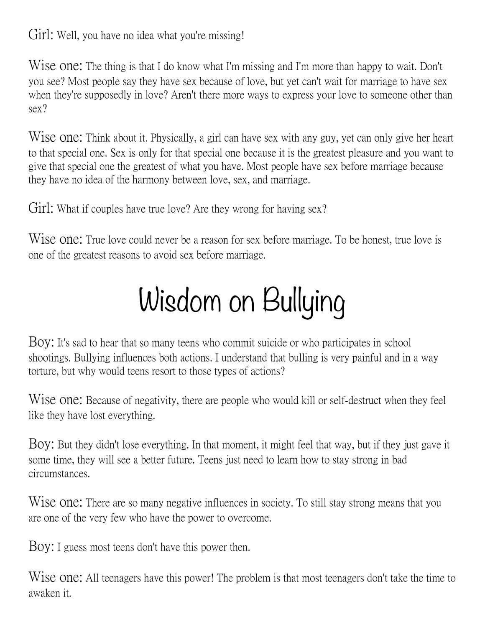Girl: Well, you have no idea what you're missing!

Wise one: The thing is that I do know what I'm missing and I'm more than happy to wait. Don't you see? Most people say they have sex because of love, but yet can't wait for marriage to have sex when they're supposedly in love? Aren't there more ways to express your love to someone other than sex?

Wise one: Think about it. Physically, a girl can have sex with any guy, yet can only give her heart to that special one. Sex is only for that special one because it is the greatest pleasure and you want to give that special one the greatest of what you have. Most people have sex before marriage because they have no idea of the harmony between love, sex, and marriage.

Girl; What if couples have true love? Are they wrong for having sex?

Wise one: True love could never be a reason for sex before marriage. To be honest, true love is one of the greatest reasons to avoid sex before marriage.

# Wisdom on Bullying

Boy: It's sad to hear that so many teens who commit suicide or who participates in school shootings. Bullying influences both actions. I understand that bulling is very painful and in a way torture, but why would teens resort to those types of actions?

Wise one: Because of negativity, there are people who would kill or self-destruct when they feel like they have lost everything.

Boy: But they didn't lose everything. In that moment, it might feel that way, but if they just gave it some time, they will see a better future. Teens just need to learn how to stay strong in bad circumstances.

Wise one: There are so many negative influences in society. To still stay strong means that you are one of the very few who have the power to overcome.

Boy: I guess most teens don't have this power then.

W<sub>18</sub> One: All teenagers have this power! The problem is that most teenagers don't take the time to awaken it.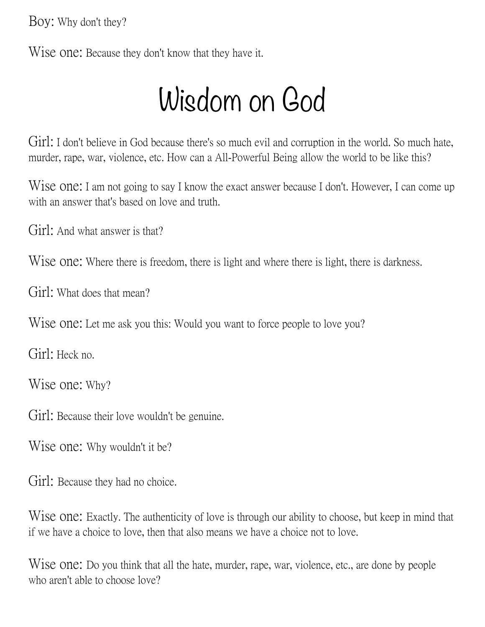Boy: Why don't they?

Wise one: Because they don't know that they have it.

#### Wisdom on God

Girl: I don't believe in God because there's so much evil and corruption in the world. So much hate, murder, rape, war, violence, etc. How can a All-Powerful Being allow the world to be like this?

Wise one: I am not going to say I know the exact answer because I don't. However, I can come up with an answer that's based on love and truth.

Girl: And what answer is that?

Wise one: Where there is freedom, there is light and where there is light, there is darkness.

Girl: What does that mean?

Wise one: Let me ask you this: Would you want to force people to love you?

Girl: Heck no.

Wise one: Why?

Girl: Because their love wouldn't be genuine.

Wise one: Why wouldn't it be?

Girl: Because they had no choice.

Wise one: Exactly. The authenticity of love is through our ability to choose, but keep in mind that if we have a choice to love, then that also means we have a choice not to love.

Wise one: Do you think that all the hate, murder, rape, war, violence, etc., are done by people who aren't able to choose love?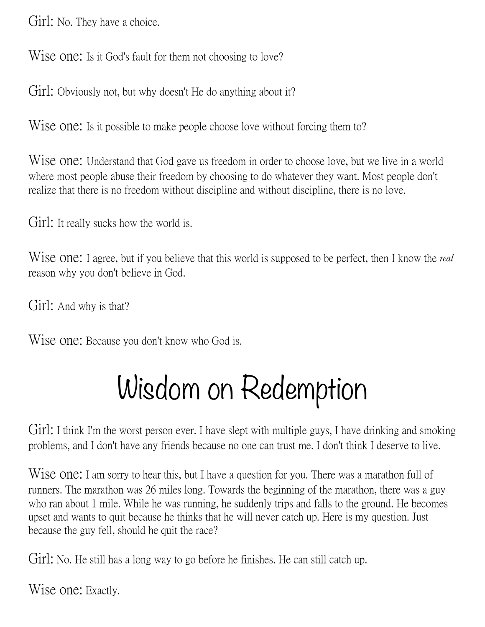Girl: No. They have a choice.

Wise one: Is it God's fault for them not choosing to love?

Girl: Obviously not, but why doesn't He do anything about it?

Wise one: Is it possible to make people choose love without forcing them to?

Wise one: Understand that God gave us freedom in order to choose love, but we live in a world where most people abuse their freedom by choosing to do whatever they want. Most people don't realize that there is no freedom without discipline and without discipline, there is no love.

Girl: It really sucks how the world is.

Wise one: I agree, but if you believe that this world is supposed to be perfect, then I know the *real* reason why you don't believe in God.

Girl: And why is that?

Wise one: Because you don't know who God is.

### Wisdom on Redemption

Girl: I think I'm the worst person ever. I have slept with multiple guys, I have drinking and smoking problems, and I don't have any friends because no one can trust me. I don't think I deserve to live.

Wise one: I am sorry to hear this, but I have a question for you. There was a marathon full of runners. The marathon was 26 miles long. Towards the beginning of the marathon, there was a guy who ran about 1 mile. While he was running, he suddenly trips and falls to the ground. He becomes upset and wants to quit because he thinks that he will never catch up. Here is my question. Just because the guy fell, should he quit the race?

Girl; No. He still has a long way to go before he finishes. He can still catch up.

Wise one: Exactly.